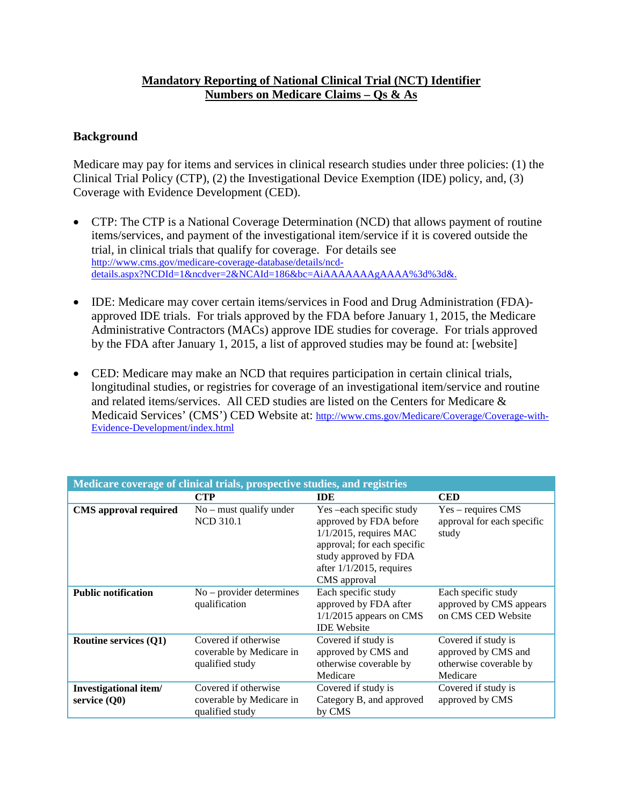## **Mandatory Reporting of National Clinical Trial (NCT) Identifier Numbers on Medicare Claims – Qs & As**

## **Background**

Medicare may pay for items and services in clinical research studies under three policies: (1) the Clinical Trial Policy (CTP), (2) the Investigational Device Exemption (IDE) policy, and, (3) Coverage with Evidence Development (CED).

- CTP: The CTP is a National Coverage Determination (NCD) that allows payment of routine items/services, and payment of the investigational item/service if it is covered outside the trial, in clinical trials that qualify for coverage. For details see [http://www.cms.gov/medicare-coverage-database/details/ncd](http://www.cms.gov/medicare-coverage-database/details/ncd-details.aspx?NCDId=1&ncdver=2&NCAId=186&bc=AiAAAAAAAgAAAA%3d%3d&)[details.aspx?NCDId=1&ncdver=2&NCAId=186&bc=AiAAAAAAAgAAAA%3d%3d&.](http://www.cms.gov/medicare-coverage-database/details/ncd-details.aspx?NCDId=1&ncdver=2&NCAId=186&bc=AiAAAAAAAgAAAA%3d%3d&)
- IDE: Medicare may cover certain items/services in Food and Drug Administration (FDA) approved IDE trials. For trials approved by the FDA before January 1, 2015, the Medicare Administrative Contractors (MACs) approve IDE studies for coverage. For trials approved by the FDA after January 1, 2015, a list of approved studies may be found at: [website]
- CED: Medicare may make an NCD that requires participation in certain clinical trials, longitudinal studies, or registries for coverage of an investigational item/service and routine and related items/services. All CED studies are listed on the Centers for Medicare & Medicaid Services' (CMS') CED Website at: [http://www.cms.gov/Medicare/Coverage/Coverage-with-](http://www.cms.gov/Medicare/Coverage/Coverage-with-Evidence-Development/index.html)[Evidence-Development/index.html](http://www.cms.gov/Medicare/Coverage/Coverage-with-Evidence-Development/index.html)

| Medicare coverage of clinical trials, prospective studies, and registries |                                                                     |                                                                                                                                                                                        |                                                                                  |
|---------------------------------------------------------------------------|---------------------------------------------------------------------|----------------------------------------------------------------------------------------------------------------------------------------------------------------------------------------|----------------------------------------------------------------------------------|
|                                                                           | <b>CTP</b>                                                          | <b>IDE</b>                                                                                                                                                                             | <b>CED</b>                                                                       |
| <b>CMS</b> approval required                                              | $No$ – must qualify under<br><b>NCD 310.1</b>                       | Yes -each specific study<br>approved by FDA before<br>$1/1/2015$ , requires MAC<br>approval; for each specific<br>study approved by FDA<br>after $1/1/2015$ , requires<br>CMS approval | Yes – requires CMS<br>approval for each specific<br>study                        |
| <b>Public notification</b>                                                | $No$ – provider determines<br>qualification                         | Each specific study<br>approved by FDA after<br>$1/1/2015$ appears on CMS<br><b>IDE</b> Website                                                                                        | Each specific study<br>approved by CMS appears<br>on CMS CED Website             |
| <b>Routine services (Q1)</b>                                              | Covered if otherwise<br>coverable by Medicare in<br>qualified study | Covered if study is<br>approved by CMS and<br>otherwise coverable by<br>Medicare                                                                                                       | Covered if study is<br>approved by CMS and<br>otherwise coverable by<br>Medicare |
| Investigational item/<br>service $(Q0)$                                   | Covered if otherwise<br>coverable by Medicare in<br>qualified study | Covered if study is<br>Category B, and approved<br>by CMS                                                                                                                              | Covered if study is<br>approved by CMS                                           |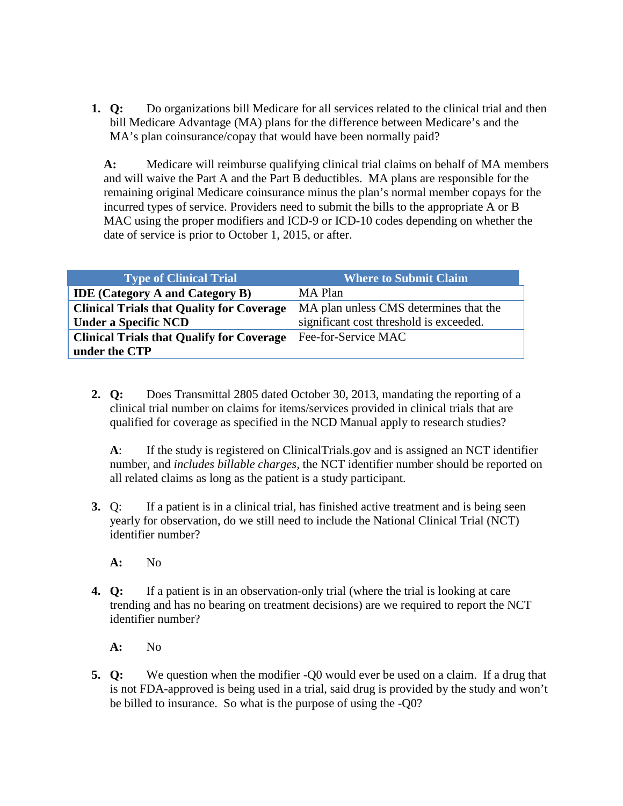**1. Q:** Do organizations bill Medicare for all services related to the clinical trial and then bill Medicare Advantage (MA) plans for the difference between Medicare's and the MA's plan coinsurance/copay that would have been normally paid?

**A:** Medicare will reimburse qualifying clinical trial claims on behalf of MA members and will waive the Part A and the Part B deductibles. MA plans are responsible for the remaining original Medicare coinsurance minus the plan's normal member copays for the incurred types of service. Providers need to submit the bills to the appropriate A or B MAC using the proper modifiers and ICD-9 or ICD-10 codes depending on whether the date of service is prior to October 1, 2015, or after.

| <b>Type of Clinical Trial</b>                    | <b>Where to Submit Claim</b>            |
|--------------------------------------------------|-----------------------------------------|
| <b>IDE</b> (Category A and Category B)           | MA Plan                                 |
| <b>Clinical Trials that Quality for Coverage</b> | MA plan unless CMS determines that the  |
| <b>Under a Specific NCD</b>                      | significant cost threshold is exceeded. |
| <b>Clinical Trials that Qualify for Coverage</b> | Fee-for-Service MAC                     |
| under the CTP                                    |                                         |

**2. Q:** Does Transmittal 2805 dated October 30, 2013, mandating the reporting of a clinical trial number on claims for items/services provided in clinical trials that are qualified for coverage as specified in the NCD Manual apply to research studies?

**A**: If the study is registered on ClinicalTrials.gov and is assigned an NCT identifier number, and *includes billable charges,* the NCT identifier number should be reported on all related claims as long as the patient is a study participant.

**3.** Q: If a patient is in a clinical trial, has finished active treatment and is being seen yearly for observation, do we still need to include the National Clinical Trial (NCT) identifier number?

**A:** No

- **4. Q:** If a patient is in an observation-only trial (where the trial is looking at care trending and has no bearing on treatment decisions) are we required to report the NCT identifier number?
	- **A:** No
- **5. Q:** We question when the modifier -Q0 would ever be used on a claim. If a drug that is not FDA-approved is being used in a trial, said drug is provided by the study and won't be billed to insurance. So what is the purpose of using the -Q0?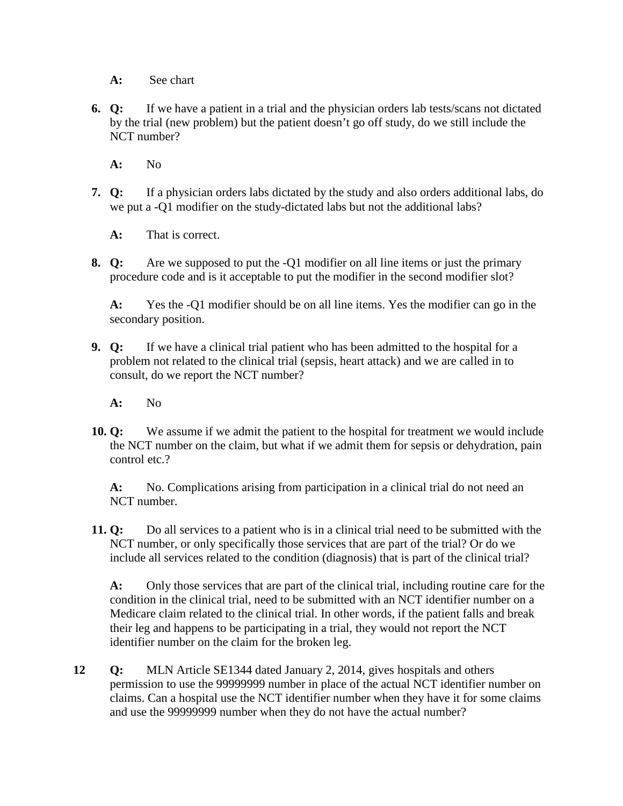**A:** See chart

**6. Q:** If we have a patient in a trial and the physician orders lab tests/scans not dictated by the trial (new problem) but the patient doesn't go off study, do we still include the NCT number?

**A:** No

**7. Q:** If a physician orders labs dictated by the study and also orders additional labs, do we put a -Q1 modifier on the study-dictated labs but not the additional labs?

**A:** That is correct.

**8. Q:** Are we supposed to put the -Q1 modifier on all line items or just the primary procedure code and is it acceptable to put the modifier in the second modifier slot?

**A:** Yes the -Q1 modifier should be on all line items. Yes the modifier can go in the secondary position.

- **9. Q:** If we have a clinical trial patient who has been admitted to the hospital for a problem not related to the clinical trial (sepsis, heart attack) and we are called in to consult, do we report the NCT number?
	- **A:** No
- **10. Q:** We assume if we admit the patient to the hospital for treatment we would include the NCT number on the claim, but what if we admit them for sepsis or dehydration, pain control etc.?

**A:** No. Complications arising from participation in a clinical trial do not need an NCT number.

**11. Q:** Do all services to a patient who is in a clinical trial need to be submitted with the NCT number, or only specifically those services that are part of the trial? Or do we include all services related to the condition (diagnosis) that is part of the clinical trial?

**A:** Only those services that are part of the clinical trial, including routine care for the condition in the clinical trial, need to be submitted with an NCT identifier number on a Medicare claim related to the clinical trial. In other words, if the patient falls and break their leg and happens to be participating in a trial, they would not report the NCT identifier number on the claim for the broken leg.

**12 Q:** MLN Article SE1344 dated January 2, 2014, gives hospitals and others permission to use the 99999999 number in place of the actual NCT identifier number on claims. Can a hospital use the NCT identifier number when they have it for some claims and use the 99999999 number when they do not have the actual number?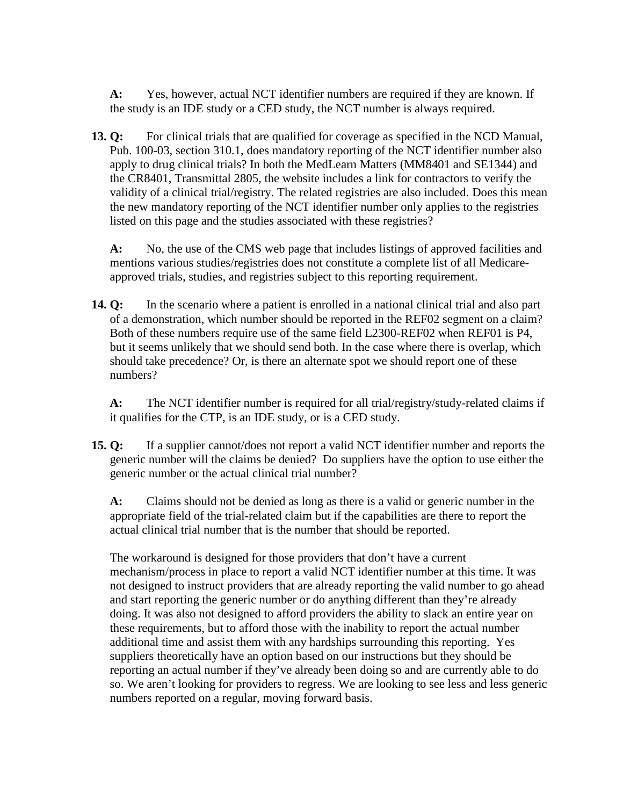**A:** Yes, however, actual NCT identifier numbers are required if they are known. If the study is an IDE study or a CED study, the NCT number is always required.

**13. Q:** For clinical trials that are qualified for coverage as specified in the NCD Manual, Pub. 100-03, section 310.1, does mandatory reporting of the NCT identifier number also apply to drug clinical trials? In both the MedLearn Matters (MM8401 and SE1344) and the CR8401, Transmittal 2805, the website includes a link for contractors to verify the validity of a clinical trial/registry. The related registries are also included. Does this mean the new mandatory reporting of the NCT identifier number only applies to the registries listed on this page and the studies associated with these registries?

**A:** No, the use of the CMS web page that includes listings of approved facilities and mentions various studies/registries does not constitute a complete list of all Medicareapproved trials, studies, and registries subject to this reporting requirement.

**14. Q:** In the scenario where a patient is enrolled in a national clinical trial and also part of a demonstration, which number should be reported in the REF02 segment on a claim? Both of these numbers require use of the same field L2300-REF02 when REF01 is P4, but it seems unlikely that we should send both. In the case where there is overlap, which should take precedence? Or, is there an alternate spot we should report one of these numbers?

**A:** The NCT identifier number is required for all trial/registry/study-related claims if it qualifies for the CTP, is an IDE study, or is a CED study.

**15. Q:** If a supplier cannot/does not report a valid NCT identifier number and reports the generic number will the claims be denied? Do suppliers have the option to use either the generic number or the actual clinical trial number?

**A:** Claims should not be denied as long as there is a valid or generic number in the appropriate field of the trial-related claim but if the capabilities are there to report the actual clinical trial number that is the number that should be reported.

The workaround is designed for those providers that don't have a current mechanism/process in place to report a valid NCT identifier number at this time. It was not designed to instruct providers that are already reporting the valid number to go ahead and start reporting the generic number or do anything different than they're already doing. It was also not designed to afford providers the ability to slack an entire year on these requirements, but to afford those with the inability to report the actual number additional time and assist them with any hardships surrounding this reporting. Yes suppliers theoretically have an option based on our instructions but they should be reporting an actual number if they've already been doing so and are currently able to do so. We aren't looking for providers to regress. We are looking to see less and less generic numbers reported on a regular, moving forward basis.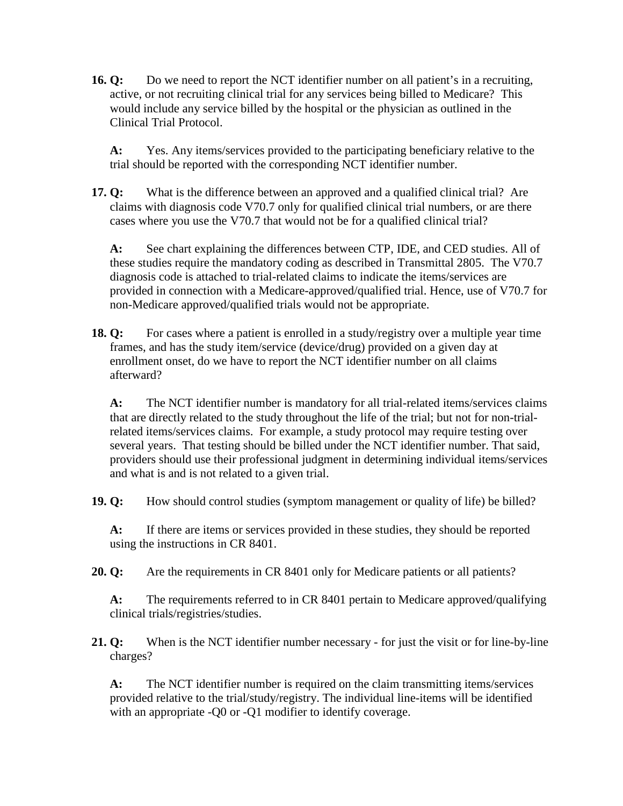**16. Q:** Do we need to report the NCT identifier number on all patient's in a recruiting, active, or not recruiting clinical trial for any services being billed to Medicare? This would include any service billed by the hospital or the physician as outlined in the Clinical Trial Protocol.

**A:** Yes. Any items/services provided to the participating beneficiary relative to the trial should be reported with the corresponding NCT identifier number.

**17. Q:** What is the difference between an approved and a qualified clinical trial? Are claims with diagnosis code V70.7 only for qualified clinical trial numbers, or are there cases where you use the V70.7 that would not be for a qualified clinical trial?

**A:** See chart explaining the differences between CTP, IDE, and CED studies. All of these studies require the mandatory coding as described in Transmittal 2805. The V70.7 diagnosis code is attached to trial-related claims to indicate the items/services are provided in connection with a Medicare-approved/qualified trial. Hence, use of V70.7 for non-Medicare approved/qualified trials would not be appropriate.

**18. Q:** For cases where a patient is enrolled in a study/registry over a multiple year time frames, and has the study item/service (device/drug) provided on a given day at enrollment onset, do we have to report the NCT identifier number on all claims afterward?

**A:** The NCT identifier number is mandatory for all trial-related items/services claims that are directly related to the study throughout the life of the trial; but not for non-trialrelated items/services claims. For example, a study protocol may require testing over several years. That testing should be billed under the NCT identifier number. That said, providers should use their professional judgment in determining individual items/services and what is and is not related to a given trial.

**19. Q:** How should control studies (symptom management or quality of life) be billed?

**A:** If there are items or services provided in these studies, they should be reported using the instructions in CR 8401.

**20. Q:** Are the requirements in CR 8401 only for Medicare patients or all patients?

**A:** The requirements referred to in CR 8401 pertain to Medicare approved/qualifying clinical trials/registries/studies.

**21. Q:** When is the NCT identifier number necessary - for just the visit or for line-by-line charges?

**A:** The NCT identifier number is required on the claim transmitting items/services provided relative to the trial/study/registry. The individual line-items will be identified with an appropriate -O0 or -O1 modifier to identify coverage.